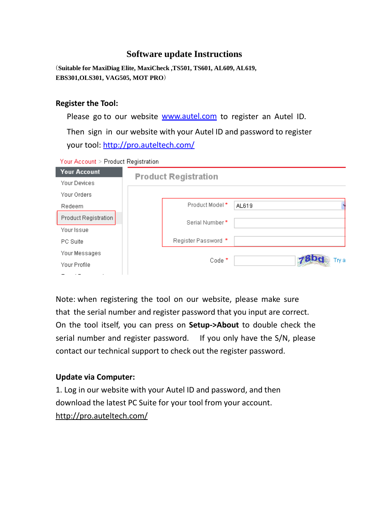## **Software update Instructions**

(**Suitable for MaxiDiag Elite, MaxiCheck ,TS501, TS601, AL609, AL619, EBS301,OLS301, VAG505, MOT PRO**)

## **Register the Tool:**

Please go to our website **[www.autel.com](http://www.autel.com/)** to register an Autel ID.

Then sign in our website with your Autel ID and password to register your tool:<http://pro.auteltech.com/>

Your Account > Product Registration

| <b>Your Account</b>  | <b>Product Registration</b> |
|----------------------|-----------------------------|
| Your Devices         |                             |
| Your Orders          |                             |
| Redeem               | Product Model *<br>AL619    |
| Product Registration | Serial Number*              |
| Your Issue           |                             |
| PC Suite             | Register Password *         |
| Your Messages        |                             |
| Your Profile         | Code <sup>*</sup><br>Trv a  |
|                      |                             |

Note: when registering the tool on our website, please make sure that the serial number and register password that you input are correct. On the tool itself, you can press on **Setup->About** to double check the serial number and register password. If you only have the S/N, please contact our technical support to check out the register password.

## **Update via Computer:**

1. Log in our website with your Autel ID and password, and then download the latest PC Suite for your tool from your account. <http://pro.auteltech.com/>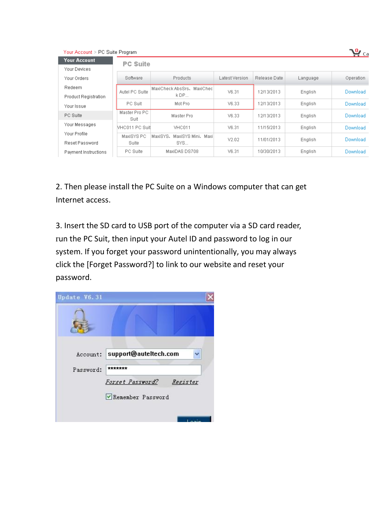| Your Account > PC Suite Program |                       |                                       |                |              |          |                 |
|---------------------------------|-----------------------|---------------------------------------|----------------|--------------|----------|-----------------|
| <b>Your Account</b>             | <b>PC Suite</b>       |                                       |                |              |          |                 |
| Your Devices                    |                       |                                       |                |              |          |                 |
| Your Orders                     | Software              | Products                              | Latest Version | Release Date | Language | Operation       |
| Redeem                          | Autel PC Suite        | MaxiCheck AbsSrs, MaxiChec            | V6.31          | 12/13/2013   | English  | <b>Download</b> |
| <b>Product Registration</b>     |                       | k DP                                  |                |              |          |                 |
| Your Issue                      | PC Suit               | Mot Pro                               | V6.33          | 12/13/2013   | English  | <b>Download</b> |
| PC Suite                        | Master Pro PC<br>Suit | Master Pro                            | V6.33          | 12/13/2013   | English  | <b>Download</b> |
| Your Messages                   | VHC011 PC Suit        | <b>VHC011</b>                         | V6.31          | 11/15/2013   | English  | <b>Download</b> |
| Your Profile<br>Reset Password  | MaxiSYS PC<br>Suite   | MaxiSYS.<br>MaxiSYS Mini, Maxi<br>SYS | V2.02          | 11/01/2013   | English  | <b>Download</b> |
| Payment Instructions            | PC Suite              | MaxiDAS DS708                         | V6.31          | 10/30/2013   | English  | Download        |

2. Then please install the PC Suite on a Windows computer that can get Internet access.

3. Insert the SD card to USB port of the computer via a SD card reader, run the PC Suit, then input your Autel ID and password to log in our system. If you forget your password unintentionally, you may always click the [Forget Password?] to link to our website and reset your password.

| Update V6.31 |                                      |  |
|--------------|--------------------------------------|--|
|              |                                      |  |
| Account:     | support@auteItech.com                |  |
| Password:    | *******                              |  |
|              | <u> Forget Password?</u><br>Register |  |
|              | Remember Password                    |  |
|              |                                      |  |